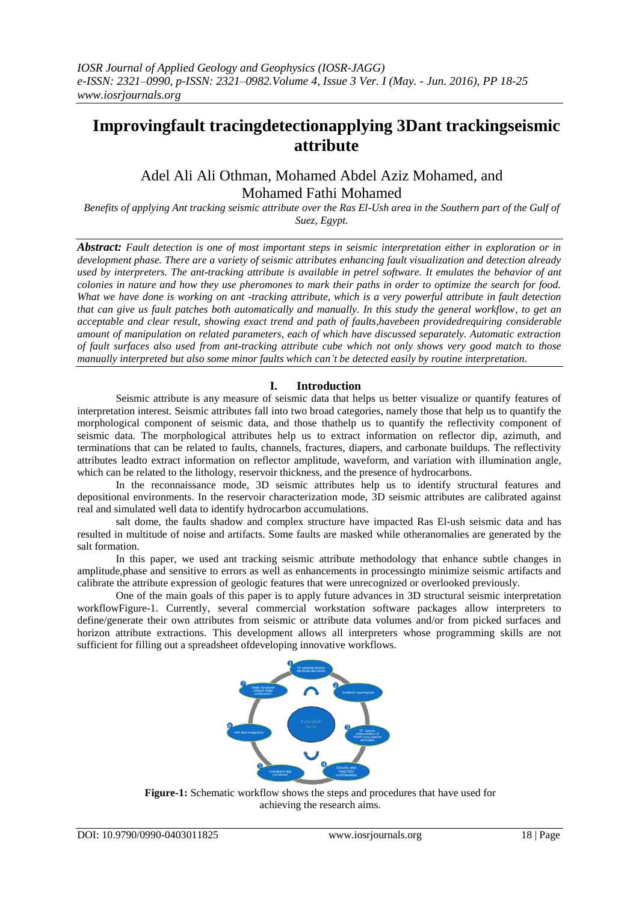# **Improvingfault tracingdetectionapplying 3Dant trackingseismic attribute**

## Adel Ali Ali Othman, Mohamed Abdel Aziz Mohamed, and Mohamed Fathi Mohamed

*Benefits of applying Ant tracking seismic attribute over the Ras El-Ush area in the Southern part of the Gulf of Suez, Egypt.*

*Abstract: Fault detection is one of most important steps in seismic interpretation either in exploration or in development phase. There are a variety of seismic attributes enhancing fault visualization and detection already used by interpreters. The ant-tracking attribute is available in petrel software. It emulates the behavior of ant colonies in nature and how they use pheromones to mark their paths in order to optimize the search for food. What we have done is working on ant -tracking attribute, which is a very powerful attribute in fault detection that can give us fault patches both automatically and manually. In this study the general workflow, to get an acceptable and clear result, showing exact trend and path of faults,havebeen providedrequiring considerable amount of manipulation on related parameters, each of which have discussed separately. Automatic extraction of fault surfaces also used from ant-tracking attribute cube which not only shows very good match to those manually interpreted but also some minor faults which can't be detected easily by routine interpretation.*

## **I. Introduction**

Seismic attribute is any measure of seismic data that helps us better visualize or quantify features of interpretation interest. Seismic attributes fall into two broad categories, namely those that help us to quantify the morphological component of seismic data, and those thathelp us to quantify the reflectivity component of seismic data. The morphological attributes help us to extract information on reflector dip, azimuth, and terminations that can be related to faults, channels, fractures, diapers, and carbonate buildups. The reflectivity attributes leadto extract information on reflector amplitude, waveform, and variation with illumination angle, which can be related to the lithology, reservoir thickness, and the presence of hydrocarbons.

In the reconnaissance mode, 3D seismic attributes help us to identify structural features and depositional environments. In the reservoir characterization mode, 3D seismic attributes are calibrated against real and simulated well data to identify hydrocarbon accumulations.

salt dome, the faults shadow and complex structure have impacted Ras El-ush seismic data and has resulted in multitude of noise and artifacts. Some faults are masked while otheranomalies are generated by the salt formation.

In this paper, we used ant tracking seismic attribute methodology that enhance subtle changes in amplitude,phase and sensitive to errors as well as enhancements in processingto minimize seismic artifacts and calibrate the attribute expression of geologic features that were unrecognized or overlooked previously.

One of the main goals of this paper is to apply future advances in 3D structural seismic interpretation workflowFigure-1. Currently, several commercial workstation software packages allow interpreters to define/generate their own attributes from seismic or attribute data volumes and/or from picked surfaces and horizon attribute extractions. This development allows all interpreters whose programming skills are not sufficient for filling out a spreadsheet ofdeveloping innovative workflows.



**Figure-1:** Schematic workflow shows the steps and procedures that have used for achieving the research aims.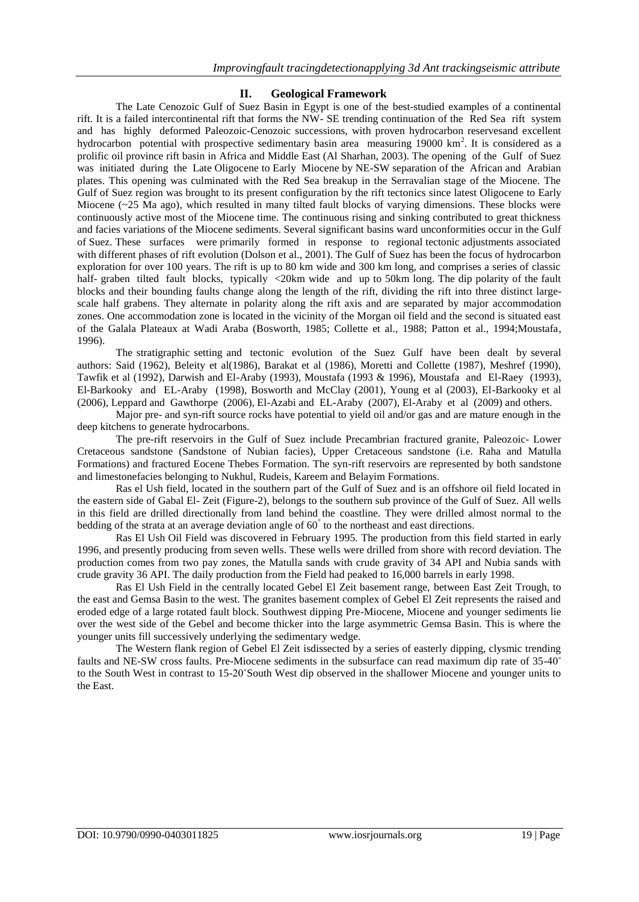## **II. Geological Framework**

The Late Cenozoic Gulf of Suez Basin in Egypt is one of the best-studied examples of a continental rift. It is a failed intercontinental rift that forms the NW- SE trending continuation of the Red Sea rift system and has highly deformed Paleozoic-Cenozoic successions, with proven hydrocarbon reservesand excellent hydrocarbon potential with prospective sedimentary basin area measuring 19000 km<sup>2</sup>. It is considered as a prolific oil province rift basin in Africa and Middle East (Al Sharhan, 2003). The opening of the Gulf of Suez was initiated during the Late Oligocene to Early Miocene by NE-SW separation of the African and Arabian plates. This opening was culminated with the Red Sea breakup in the Serravalian stage of the Miocene. The Gulf of Suez region was brought to its present configuration by the rift tectonics since latest Oligocene to Early Miocene (~25 Ma ago), which resulted in many tilted fault blocks of varying dimensions. These blocks were continuously active most of the Miocene time. The continuous rising and sinking contributed to great thickness and facies variations of the Miocene sediments. Several significant basins ward unconformities occur in the Gulf of Suez. These surfaces were primarily formed in response to regional tectonic adjustments associated with different phases of rift evolution (Dolson et al., 2001). The Gulf of Suez has been the focus of hydrocarbon exploration for over 100 years. The rift is up to 80 km wide and 300 km long, and comprises a series of classic half- graben tilted fault blocks, typically <20km wide and up to 50km long. The dip polarity of the fault blocks and their bounding faults change along the length of the rift, dividing the rift into three distinct largescale half grabens. They alternate in polarity along the rift axis and are separated by major accommodation zones. One accommodation zone is located in the vicinity of the Morgan oil field and the second is situated east of the Galala Plateaux at Wadi Araba (Bosworth, 1985; Collette et al., 1988; Patton et al., 1994;Moustafa, 1996).

The stratigraphic setting and tectonic evolution of the Suez Gulf have been dealt by several authors: Said (1962), Beleity et al(1986), Barakat et al (1986), Moretti and Collette (1987), Meshref (1990), Tawfik et al (1992), Darwish and El-Araby (1993), Moustafa (1993 & 1996), Moustafa and El-Raey (1993), El-Barkooky and EL-Araby (1998), Bosworth and McClay (2001), Young et al (2003), El-Barkooky et al (2006), Leppard and Gawthorpe (2006), El-Azabi and EL-Araby (2007), El-Araby et al (2009) and others.

Major pre- and syn-rift source rocks have potential to yield oil and/or gas and are mature enough in the deep kitchens to generate hydrocarbons.

The pre-rift reservoirs in the Gulf of Suez include Precambrian fractured granite, Paleozoic- Lower Cretaceous sandstone (Sandstone of Nubian facies), Upper Cretaceous sandstone (i.e. Raha and Matulla Formations) and fractured Eocene Thebes Formation. The syn-rift reservoirs are represented by both sandstone and limestonefacies belonging to Nukhul, Rudeis, Kareem and Belayim Formations.

Ras el Ush field, located in the southern part of the Gulf of Suez and is an offshore oil field located in the eastern side of Gabal El- Zeit (Figure-2), belongs to the southern sub province of the Gulf of Suez. All wells in this field are drilled directionally from land behind the coastline. They were drilled almost normal to the bedding of the strata at an average deviation angle of 60° to the northeast and east directions.

Ras El Ush Oil Field was discovered in February 1995. The production from this field started in early 1996, and presently producing from seven wells. These wells were drilled from shore with record deviation. The production comes from two pay zones, the Matulla sands with crude gravity of 34 API and Nubia sands with crude gravity 36 API. The daily production from the Field had peaked to 16,000 barrels in early 1998.

Ras El Ush Field in the centrally located Gebel El Zeit basement range, between East Zeit Trough, to the east and Gemsa Basin to the west. The granites basement complex of Gebel El Zeit represents the raised and eroded edge of a large rotated fault block. Southwest dipping Pre-Miocene, Miocene and younger sediments lie over the west side of the Gebel and become thicker into the large asymmetric Gemsa Basin. This is where the younger units fill successively underlying the sedimentary wedge.

The Western flank region of Gebel El Zeit isdissected by a series of easterly dipping, clysmic trending faults and NE-SW cross faults. Pre-Miocene sediments in the subsurface can read maximum dip rate of 35-40˚ to the South West in contrast to 15-20˚South West dip observed in the shallower Miocene and younger units to the East.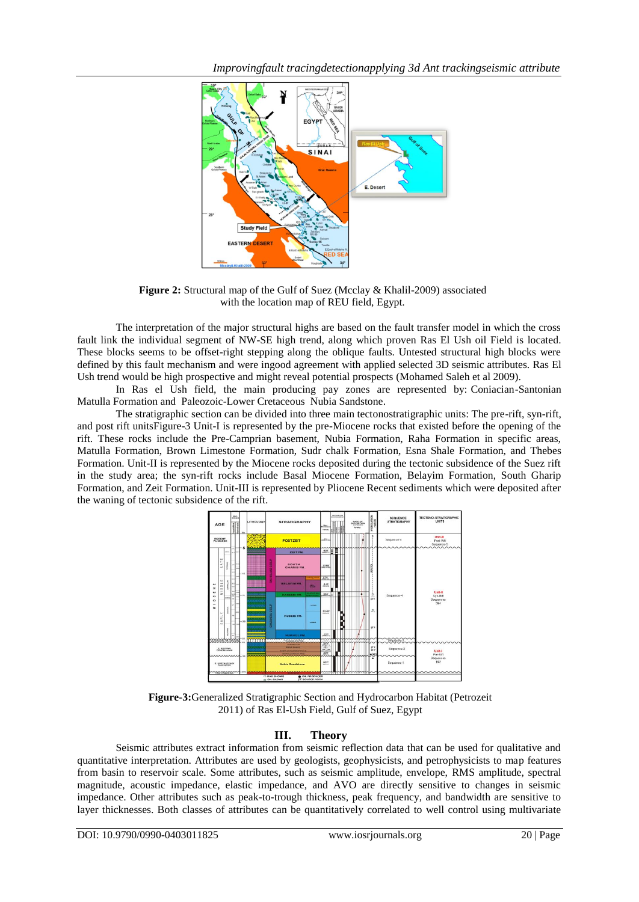

**Figure 2:** Structural map of the Gulf of Suez (Mcclay & Khalil-2009) associated with the location map of REU field, Egypt.

The interpretation of the major structural highs are based on the fault transfer model in which the cross fault link the individual segment of NW-SE high trend, along which proven Ras El Ush oil Field is located. These blocks seems to be offset-right stepping along the oblique faults. Untested structural high blocks were defined by this fault mechanism and were ingood agreement with applied selected 3D seismic attributes. Ras El Ush trend would be high prospective and might reveal potential prospects (Mohamed Saleh et al 2009).

In Ras el Ush field, the main producing pay zones are represented by: Coniacian-Santonian Matulla Formation and Paleozoic-Lower Cretaceous Nubia Sandstone.

The stratigraphic section can be divided into three main tectonostratigraphic units: The pre-rift, syn-rift, and post rift unitsFigure-3 Unit-I is represented by the pre-Miocene rocks that existed before the opening of the rift. These rocks include the Pre-Camprian basement, Nubia Formation, Raha Formation in specific areas, Matulla Formation, Brown Limestone Formation, Sudr chalk Formation, Esna Shale Formation, and Thebes Formation. Unit-II is represented by the Miocene rocks deposited during the tectonic subsidence of the Suez rift in the study area; the syn-rift rocks include Basal Miocene Formation, Belayim Formation, South Gharip Formation, and Zeit Formation. Unit-III is represented by Pliocene Recent sediments which were deposited after the waning of tectonic subsidence of the rift.



**Figure-3:**Generalized Stratigraphic Section and Hydrocarbon Habitat (Petrozeit 2011) of Ras El-Ush Field, Gulf of Suez, Egypt

## **III. Theory**

Seismic attributes extract information from seismic reflection data that can be used for qualitative and quantitative interpretation. Attributes are used by geologists, geophysicists, and petrophysicists to map features from basin to reservoir scale. Some attributes, such as seismic amplitude, envelope, RMS amplitude, spectral magnitude, acoustic impedance, elastic impedance, and AVO are directly sensitive to changes in seismic impedance. Other attributes such as peak-to-trough thickness, peak frequency, and bandwidth are sensitive to layer thicknesses. Both classes of attributes can be quantitatively correlated to well control using multivariate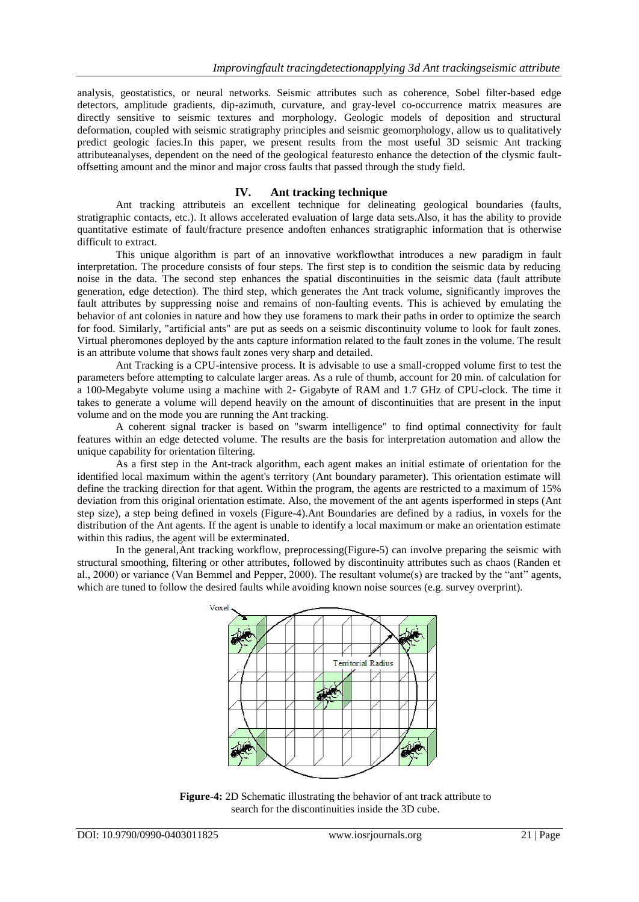analysis, geostatistics, or neural networks. Seismic attributes such as coherence, Sobel filter-based edge detectors, amplitude gradients, dip-azimuth, curvature, and gray-level co-occurrence matrix measures are directly sensitive to seismic textures and morphology. Geologic models of deposition and structural deformation, coupled with seismic stratigraphy principles and seismic geomorphology, allow us to qualitatively predict geologic facies.In this paper, we present results from the most useful 3D seismic Ant tracking attributeanalyses, dependent on the need of the geological featuresto enhance the detection of the clysmic faultoffsetting amount and the minor and major cross faults that passed through the study field.

### **IV. Ant tracking technique**

Ant tracking attributeis an excellent technique for delineating geological boundaries (faults, stratigraphic contacts, etc.). It allows accelerated evaluation of large data sets.Also, it has the ability to provide quantitative estimate of fault/fracture presence andoften enhances stratigraphic information that is otherwise difficult to extract.

This unique algorithm is part of an [innovative workflowt](mk:@MSITStore:C:\Program%20Files%20(x86)\Schlumberger\Petrel%202008\Help\Petrel.chm::/xml/anttrackingworkflow.html)hat introduces a new paradigm in fault interpretation. The procedure consists of four steps. The first step is to condition the seismic data by reducing noise in the data. The second step enhances the spatial discontinuities in the seismic data (fault attribute generation, edge detection). The third step, which generates the Ant track volume, significantly improves the fault attributes by suppressing noise and remains of non-faulting events. This is achieved by emulating the behavior of ant colonies in nature and how they use foramens to mark their paths in order to optimize the search for food. Similarly, "artificial ants" are put as seeds on a seismic discontinuity volume to look for fault zones. Virtual pheromones deployed by the ants capture information related to the fault zones in the volume. The result is an attribute volume that shows fault zones very sharp and detailed.

Ant Tracking is a CPU-intensive process. It is advisable to use a small-cropped volume first to test the parameters before attempting to calculate larger areas. As a rule of thumb, account for 20 min. of calculation for a 100-Megabyte volume using a machine with 2- Gigabyte of RAM and 1.7 GHz of CPU-clock. The time it takes to generate a volume will depend heavily on the amount of discontinuities that are present in the input volume and on the mode you are running the Ant tracking.

A coherent signal tracker is based on "swarm intelligence" to find optimal connectivity for fault features within an edge detected volume. The results are the basis for interpretation automation and allow the unique capability for orientation filtering.

As a first step in the Ant-track algorithm, each agent makes an initial estimate of orientation for the identified local maximum within the agent's territory (Ant boundary parameter). This orientation estimate will define the tracking direction for that agent. Within the program, the agents are restricted to a maximum of 15% deviation from this original orientation estimate. Also, the movement of the ant agents isperformed in steps (Ant step size), a step being defined in voxels (Figure-4).Ant Boundaries are defined by a radius, in voxels for the distribution of the Ant agents. If the agent is unable to identify a local maximum or make an orientation estimate within this radius, the agent will be exterminated.

In the general,Ant tracking workflow, preprocessing(Figure-5) can involve preparing the seismic with structural smoothing, filtering or other attributes, followed by discontinuity attributes such as chaos (Randen et al., 2000) or variance (Van Bemmel and Pepper, 2000). The resultant volume(s) are tracked by the "ant" agents, which are tuned to follow the desired faults while avoiding known noise sources (e.g. survey overprint).



**Figure-4:** 2D Schematic illustrating the behavior of ant track attribute to search for the discontinuities inside the 3D cube.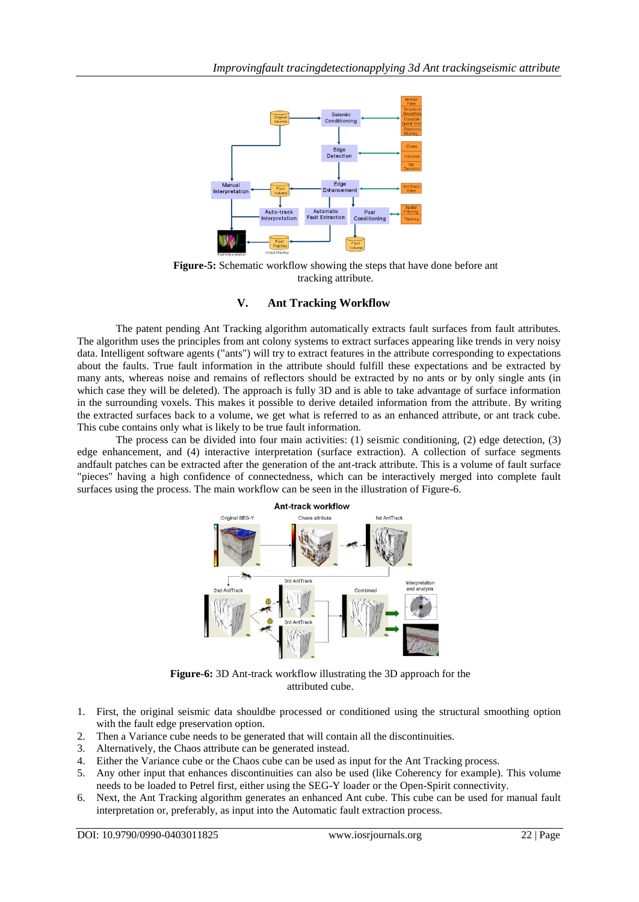

**Figure-5:** Schematic workflow showing the steps that have done before ant tracking attribute.

## **V. Ant Tracking Workflow**

The patent pending Ant Tracking algorithm automatically extracts fault surfaces from fault attributes. The algorithm uses the principles from ant colony systems to extract surfaces appearing like trends in very noisy data. Intelligent software agents ("ants") will try to extract features in the attribute corresponding to expectations about the faults. True fault information in the attribute should fulfill these expectations and be extracted by many ants, whereas noise and remains of reflectors should be extracted by no ants or by only single ants (in which case they will be deleted). The approach is fully 3D and is able to take advantage of surface information in the surrounding voxels. This makes it possible to derive detailed information from the attribute. By writing the extracted surfaces back to a volume, we get what is referred to as an enhanced attribute, or ant track cube. This cube contains only what is likely to be true fault information.

The process can be divided into four main activities: (1) seismic conditioning, (2) edge detection, (3) edge enhancement, and (4) interactive interpretation (surface extraction). A collection of surface segments andfault patches can be extracted after the generation of the ant-track attribute. This is a volume of fault surface "pieces" having a high confidence of connectedness, which can be interactively merged into complete fault surfaces using the process. The main workflow can be seen in the illustration of Figure-6.



**Figure-6:** 3D Ant-track workflow illustrating the 3D approach for the attributed cube.

- 1. First, the original seismic data shouldbe processed or conditioned using the structural smoothing option with the fault edge preservation option.
- 2. Then a Variance cube needs to be generated that will contain all the discontinuities.
- 3. Alternatively, the Chaos attribute can be generated instead.
- 4. Either the Variance cube or the Chaos cube can be used as input for the Ant Tracking process.
- 5. Any other input that enhances discontinuities can also be used (like Coherency for example). This volume needs to be loaded to Petrel first, either using the SEG-Y loader or the Open-Spirit connectivity.
- 6. Next, the Ant Tracking algorithm generates an enhanced Ant cube. This cube can be used for manual fault interpretation or, preferably, as input into the Automatic fault extraction process.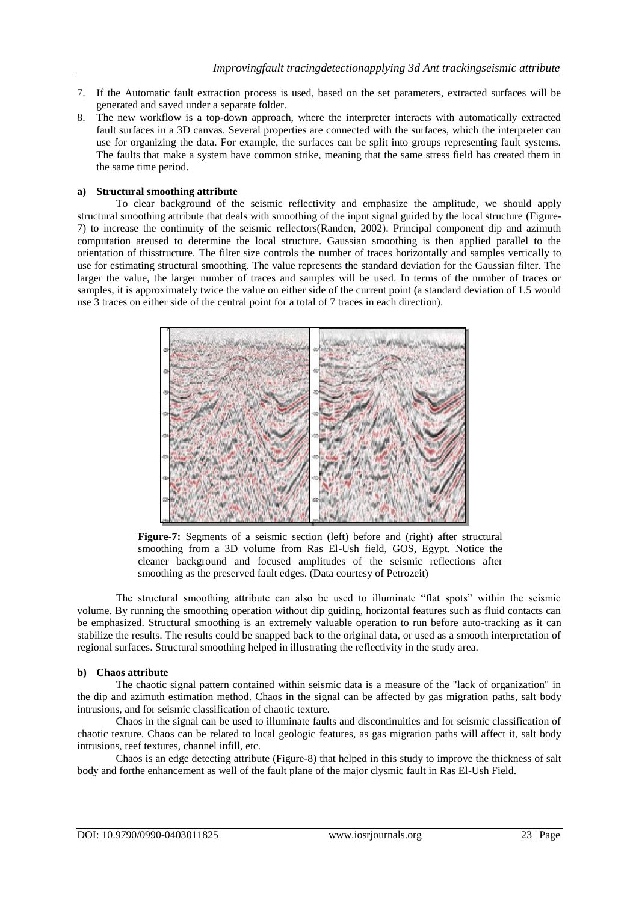- 7. If the [Automatic fault extraction](mk:@MSITStore:C:\Program%20Files%20(x86)\Schlumberger\Petrel%202008\Help\Petrel.chm::/xml/automaticfaultextraction.html) process is used, based on the set parameters, extracted surfaces will be generated and saved under a separate folder.
- 8. The new workflow is a top-down approach, where the interpreter interacts with automatically extracted fault surfaces in a 3D canvas. Several properties are connected with the surfaces, which the interpreter can use for organizing the data. For example, the surfaces can be split into groups representing fault systems. The faults that make a system have common strike, meaning that the same stress field has created them in the same time period.

#### **a) Structural smoothing attribute**

To clear background of the seismic reflectivity and emphasize the amplitude, we should apply structural smoothing attribute that deals with smoothing of the input signal guided by the local structure (Figure-7) to increase the continuity of the seismic reflectors(Randen, 2002). Principal component dip and azimuth computation areused to determine the local structure. Gaussian smoothing is then applied parallel to the orientation of thisstructure. The filter size controls the number of traces horizontally and samples vertically to use for estimating structural smoothing. The value represents the standard deviation for the Gaussian filter. The larger the value, the larger number of traces and samples will be used. In terms of the number of traces or samples, it is approximately twice the value on either side of the current point (a standard deviation of 1.5 would use 3 traces on either side of the central point for a total of 7 traces in each direction).



**Figure-7:** Segments of a seismic section (left) before and (right) after structural smoothing from a 3D volume from Ras El-Ush field, GOS, Egypt. Notice the cleaner background and focused amplitudes of the seismic reflections after smoothing as the preserved fault edges. (Data courtesy of Petrozeit)

The structural smoothing attribute can also be used to illuminate "flat spots" within the seismic volume. By running the smoothing operation without dip guiding, horizontal features such as fluid contacts can be emphasized. Structural smoothing is an extremely valuable operation to run before auto-tracking as it can stabilize the results. The results could be snapped back to the original data, or used as a smooth interpretation of regional surfaces. Structural smoothing helped in illustrating the reflectivity in the study area.

#### **b) Chaos attribute**

The chaotic signal pattern contained within seismic data is a measure of the "lack of organization" in the dip and azimuth estimation method. Chaos in the signal can be affected by gas migration paths, salt body intrusions, and for seismic classification of chaotic texture.

Chaos in the signal can be used to illuminate faults and discontinuities and for seismic classification of chaotic texture. Chaos can be related to local geologic features, as gas migration paths will affect it, salt body intrusions, reef textures, channel infill, etc.

Chaos is an edge detecting attribute (Figure-8) that helped in this study to improve the thickness of salt body and forthe enhancement as well of the fault plane of the major clysmic fault in Ras El-Ush Field.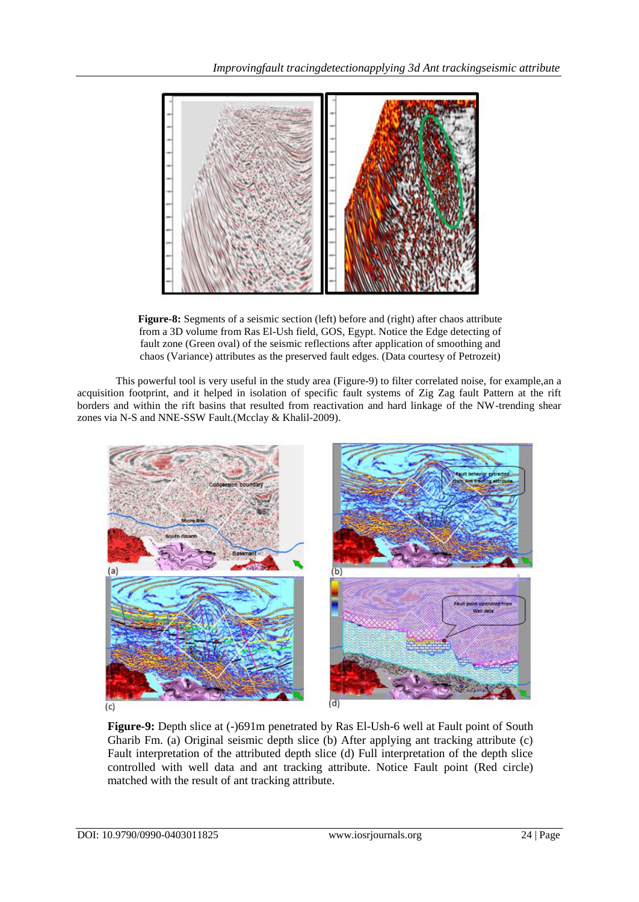

**Figure-8:** Segments of a seismic section (left) before and (right) after chaos attribute from a 3D volume from Ras El-Ush field, GOS, Egypt. Notice the Edge detecting of fault zone (Green oval) of the seismic reflections after application of smoothing and chaos (Variance) attributes as the preserved fault edges. (Data courtesy of Petrozeit)

This powerful tool is very useful in the study area (Figure-9) to filter correlated noise, for example,an a acquisition footprint, and it helped in isolation of specific fault systems of Zig Zag fault Pattern at the rift borders and within the rift basins that resulted from reactivation and hard linkage of the NW-trending shear zones via N-S and NNE-SSW Fault.(Mcclay & Khalil-2009).



**Figure-9:** Depth slice at (-)691m penetrated by Ras El-Ush-6 well at Fault point of South Gharib Fm. (a) Original seismic depth slice (b) After applying ant tracking attribute (c) Fault interpretation of the attributed depth slice (d) Full interpretation of the depth slice controlled with well data and ant tracking attribute. Notice Fault point (Red circle) matched with the result of ant tracking attribute.